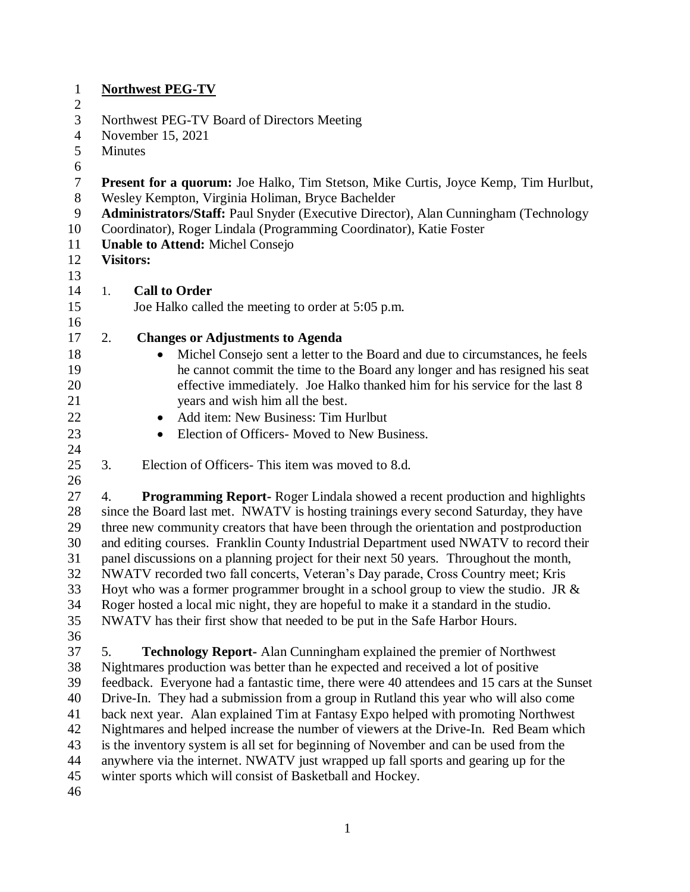| $\mathbf{1}$   | <b>Northwest PEG-TV</b>                                                                                                                                    |  |  |
|----------------|------------------------------------------------------------------------------------------------------------------------------------------------------------|--|--|
| $\overline{2}$ |                                                                                                                                                            |  |  |
| 3              | Northwest PEG-TV Board of Directors Meeting                                                                                                                |  |  |
| $\overline{4}$ | November 15, 2021                                                                                                                                          |  |  |
| 5              | Minutes                                                                                                                                                    |  |  |
| 6<br>$\tau$    | Present for a quorum: Joe Halko, Tim Stetson, Mike Curtis, Joyce Kemp, Tim Hurlbut,                                                                        |  |  |
| $8\phantom{1}$ | Wesley Kempton, Virginia Holiman, Bryce Bachelder                                                                                                          |  |  |
| 9              | Administrators/Staff: Paul Snyder (Executive Director), Alan Cunningham (Technology                                                                        |  |  |
| 10             | Coordinator), Roger Lindala (Programming Coordinator), Katie Foster                                                                                        |  |  |
| 11             | <b>Unable to Attend: Michel Consejo</b>                                                                                                                    |  |  |
| 12             | <b>Visitors:</b>                                                                                                                                           |  |  |
| 13             |                                                                                                                                                            |  |  |
| 14             | <b>Call to Order</b><br>1.                                                                                                                                 |  |  |
| 15             | Joe Halko called the meeting to order at 5:05 p.m.                                                                                                         |  |  |
| 16             |                                                                                                                                                            |  |  |
| 17             | 2.<br><b>Changes or Adjustments to Agenda</b>                                                                                                              |  |  |
| 18             | Michel Consejo sent a letter to the Board and due to circumstances, he feels                                                                               |  |  |
| 19<br>20       | he cannot commit the time to the Board any longer and has resigned his seat<br>effective immediately. Joe Halko thanked him for his service for the last 8 |  |  |
| 21             | years and wish him all the best.                                                                                                                           |  |  |
| 22             | Add item: New Business: Tim Hurlbut                                                                                                                        |  |  |
|                | ٠<br>Election of Officers- Moved to New Business.                                                                                                          |  |  |
| 23<br>24       | $\bullet$                                                                                                                                                  |  |  |
| 25             | 3.<br>Election of Officers-This item was moved to 8.d.                                                                                                     |  |  |
| 26             |                                                                                                                                                            |  |  |
| 27             | <b>Programming Report-</b> Roger Lindala showed a recent production and highlights<br>4.                                                                   |  |  |
| 28             | since the Board last met. NWATV is hosting trainings every second Saturday, they have                                                                      |  |  |
| 29             | three new community creators that have been through the orientation and postproduction                                                                     |  |  |
| 30             | and editing courses. Franklin County Industrial Department used NWATV to record their                                                                      |  |  |
| 31             | panel discussions on a planning project for their next 50 years. Throughout the month,                                                                     |  |  |
| 32             | NWATV recorded two fall concerts, Veteran's Day parade, Cross Country meet; Kris                                                                           |  |  |
| 33             | Hoyt who was a former programmer brought in a school group to view the studio. JR $\&$                                                                     |  |  |
| 34             | Roger hosted a local mic night, they are hopeful to make it a standard in the studio.                                                                      |  |  |
| 35             | NWATV has their first show that needed to be put in the Safe Harbor Hours.                                                                                 |  |  |
| 36             |                                                                                                                                                            |  |  |
| 37             | 5.<br><b>Technology Report-Alan Cunningham explained the premier of Northwest</b>                                                                          |  |  |
| 38             | Nightmares production was better than he expected and received a lot of positive                                                                           |  |  |
| 39             | feedback. Everyone had a fantastic time, there were 40 attendees and 15 cars at the Sunset                                                                 |  |  |
| 40             | Drive-In. They had a submission from a group in Rutland this year who will also come                                                                       |  |  |
| 41             | back next year. Alan explained Tim at Fantasy Expo helped with promoting Northwest                                                                         |  |  |
| 42             | Nightmares and helped increase the number of viewers at the Drive-In. Red Beam which                                                                       |  |  |
| 43             | is the inventory system is all set for beginning of November and can be used from the                                                                      |  |  |
| 44             | anywhere via the internet. NWATV just wrapped up fall sports and gearing up for the                                                                        |  |  |
| 45             | winter sports which will consist of Basketball and Hockey.                                                                                                 |  |  |
| 46             |                                                                                                                                                            |  |  |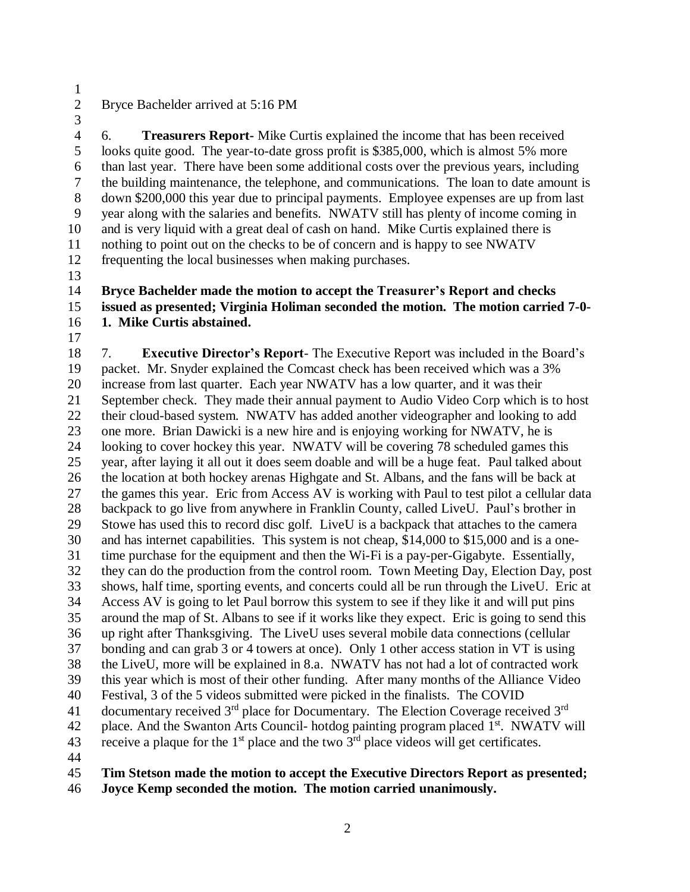#### Bryce Bachelder arrived at 5:16 PM

 6. **Treasurers Report-** Mike Curtis explained the income that has been received looks quite good. The year-to-date gross profit is \$385,000, which is almost 5% more than last year. There have been some additional costs over the previous years, including the building maintenance, the telephone, and communications. The loan to date amount is down \$200,000 this year due to principal payments. Employee expenses are up from last year along with the salaries and benefits. NWATV still has plenty of income coming in and is very liquid with a great deal of cash on hand. Mike Curtis explained there is nothing to point out on the checks to be of concern and is happy to see NWATV frequenting the local businesses when making purchases.

#### **Bryce Bachelder made the motion to accept the Treasurer's Report and checks issued as presented; Virginia Holiman seconded the motion. The motion carried 7-0-**

- **1. Mike Curtis abstained.**
- 

 7. **Executive Director's Report**- The Executive Report was included in the Board's packet. Mr. Snyder explained the Comcast check has been received which was a 3% increase from last quarter. Each year NWATV has a low quarter, and it was their September check. They made their annual payment to Audio Video Corp which is to host their cloud-based system. NWATV has added another videographer and looking to add one more. Brian Dawicki is a new hire and is enjoying working for NWATV, he is looking to cover hockey this year. NWATV will be covering 78 scheduled games this year, after laying it all out it does seem doable and will be a huge feat. Paul talked about the location at both hockey arenas Highgate and St. Albans, and the fans will be back at the games this year. Eric from Access AV is working with Paul to test pilot a cellular data backpack to go live from anywhere in Franklin County, called LiveU. Paul's brother in Stowe has used this to record disc golf. LiveU is a backpack that attaches to the camera and has internet capabilities. This system is not cheap, \$14,000 to \$15,000 and is a one- time purchase for the equipment and then the Wi-Fi is a pay-per-Gigabyte. Essentially, they can do the production from the control room. Town Meeting Day, Election Day, post shows, half time, sporting events, and concerts could all be run through the LiveU. Eric at Access AV is going to let Paul borrow this system to see if they like it and will put pins around the map of St. Albans to see if it works like they expect. Eric is going to send this up right after Thanksgiving. The LiveU uses several mobile data connections (cellular bonding and can grab 3 or 4 towers at once). Only 1 other access station in VT is using the LiveU, more will be explained in 8.a. NWATV has not had a lot of contracted work this year which is most of their other funding. After many months of the Alliance Video Festival, 3 of the 5 videos submitted were picked in the finalists. The COVID documentary received 3<sup>rd</sup> place for Documentary. The Election Coverage received 3<sup>rd</sup> 42 place. And the Swanton Arts Council- hotdog painting program placed 1<sup>st</sup>. NWATV will 43 receive a plaque for the  $1<sup>st</sup>$  place and the two  $3<sup>rd</sup>$  place videos will get certificates. 

# **Tim Stetson made the motion to accept the Executive Directors Report as presented;**

**Joyce Kemp seconded the motion. The motion carried unanimously.**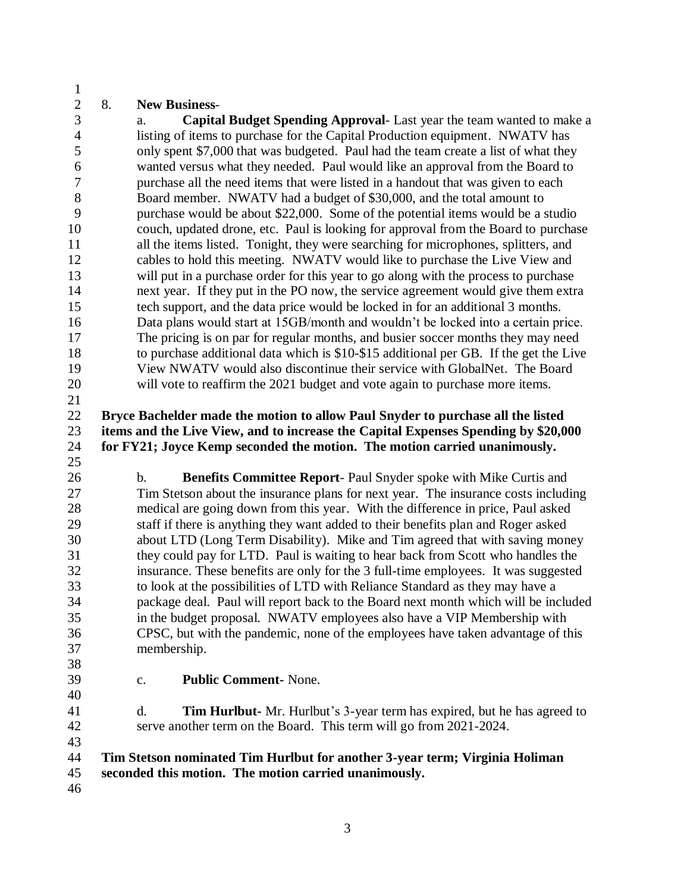## 8. **New Business**-

 a. **Capital Budget Spending Approval**- Last year the team wanted to make a listing of items to purchase for the Capital Production equipment. NWATV has only spent \$7,000 that was budgeted. Paul had the team create a list of what they wanted versus what they needed. Paul would like an approval from the Board to purchase all the need items that were listed in a handout that was given to each Board member. NWATV had a budget of \$30,000, and the total amount to purchase would be about \$22,000. Some of the potential items would be a studio couch, updated drone, etc. Paul is looking for approval from the Board to purchase all the items listed. Tonight, they were searching for microphones, splitters, and cables to hold this meeting. NWATV would like to purchase the Live View and will put in a purchase order for this year to go along with the process to purchase next year. If they put in the PO now, the service agreement would give them extra tech support, and the data price would be locked in for an additional 3 months. Data plans would start at 15GB/month and wouldn't be locked into a certain price. The pricing is on par for regular months, and busier soccer months they may need to purchase additional data which is \$10-\$15 additional per GB. If the get the Live View NWATV would also discontinue their service with GlobalNet. The Board will vote to reaffirm the 2021 budget and vote again to purchase more items. 

 **Bryce Bachelder made the motion to allow Paul Snyder to purchase all the listed items and the Live View, and to increase the Capital Expenses Spending by \$20,000 for FY21; Joyce Kemp seconded the motion. The motion carried unanimously.**  

 b. **Benefits Committee Report**- Paul Snyder spoke with Mike Curtis and Tim Stetson about the insurance plans for next year. The insurance costs including medical are going down from this year. With the difference in price, Paul asked staff if there is anything they want added to their benefits plan and Roger asked about LTD (Long Term Disability). Mike and Tim agreed that with saving money they could pay for LTD. Paul is waiting to hear back from Scott who handles the insurance. These benefits are only for the 3 full-time employees. It was suggested to look at the possibilities of LTD with Reliance Standard as they may have a package deal. Paul will report back to the Board next month which will be included in the budget proposal. NWATV employees also have a VIP Membership with CPSC, but with the pandemic, none of the employees have taken advantage of this membership.

 

c. **Public Comment-** None.

 d. **Tim Hurlbut-** Mr. Hurlbut's 3-year term has expired, but he has agreed to serve another term on the Board. This term will go from 2021-2024.

#### **Tim Stetson nominated Tim Hurlbut for another 3-year term; Virginia Holiman seconded this motion. The motion carried unanimously.**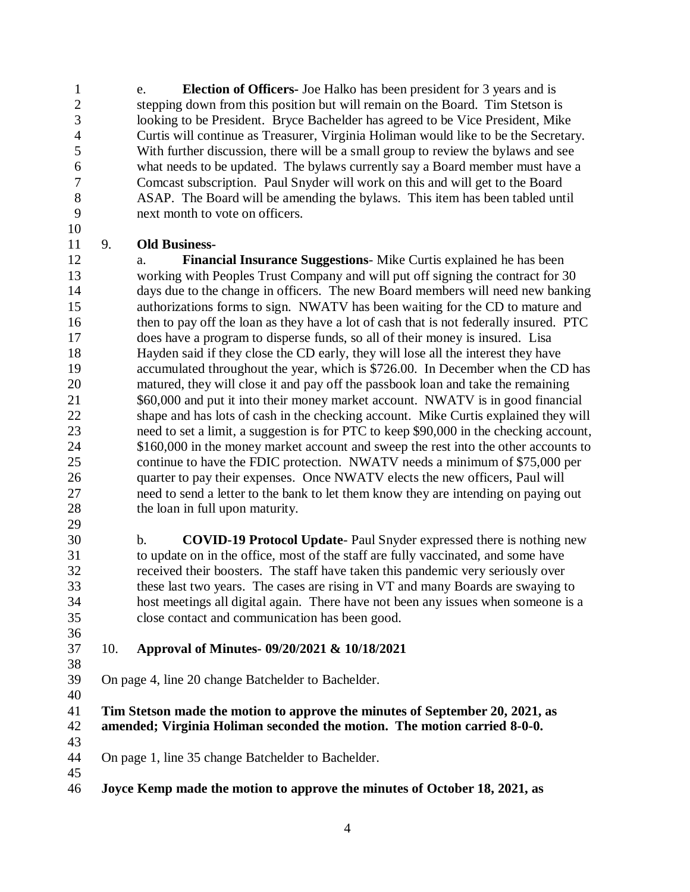e. **Election of Officers-** Joe Halko has been president for 3 years and is stepping down from this position but will remain on the Board. Tim Stetson is looking to be President. Bryce Bachelder has agreed to be Vice President, Mike Curtis will continue as Treasurer, Virginia Holiman would like to be the Secretary. With further discussion, there will be a small group to review the bylaws and see what needs to be updated. The bylaws currently say a Board member must have a Comcast subscription. Paul Snyder will work on this and will get to the Board ASAP. The Board will be amending the bylaws. This item has been tabled until next month to vote on officers.

#### 9. **Old Business-**

 a. **Financial Insurance Suggestions**- Mike Curtis explained he has been working with Peoples Trust Company and will put off signing the contract for 30 days due to the change in officers. The new Board members will need new banking authorizations forms to sign. NWATV has been waiting for the CD to mature and 16 then to pay off the loan as they have a lot of cash that is not federally insured. PTC does have a program to disperse funds, so all of their money is insured. Lisa Hayden said if they close the CD early, they will lose all the interest they have accumulated throughout the year, which is \$726.00. In December when the CD has matured, they will close it and pay off the passbook loan and take the remaining \$60,000 and put it into their money market account. NWATV is in good financial shape and has lots of cash in the checking account. Mike Curtis explained they will need to set a limit, a suggestion is for PTC to keep \$90,000 in the checking account, 24 \$160,000 in the money market account and sweep the rest into the other accounts to continue to have the FDIC protection. NWATV needs a minimum of \$75,000 per 26 quarter to pay their expenses. Once NWATV elects the new officers, Paul will need to send a letter to the bank to let them know they are intending on paying out the loan in full upon maturity. 

 b. **COVID-19 Protocol Update**- Paul Snyder expressed there is nothing new to update on in the office, most of the staff are fully vaccinated, and some have received their boosters. The staff have taken this pandemic very seriously over these last two years. The cases are rising in VT and many Boards are swaying to host meetings all digital again. There have not been any issues when someone is a close contact and communication has been good.

## 10. **Approval of Minutes- 09/20/2021 & 10/18/2021**

On page 4, line 20 change Batchelder to Bachelder.

 **Tim Stetson made the motion to approve the minutes of September 20, 2021, as amended; Virginia Holiman seconded the motion. The motion carried 8-0-0.** 

On page 1, line 35 change Batchelder to Bachelder.

**Joyce Kemp made the motion to approve the minutes of October 18, 2021, as**